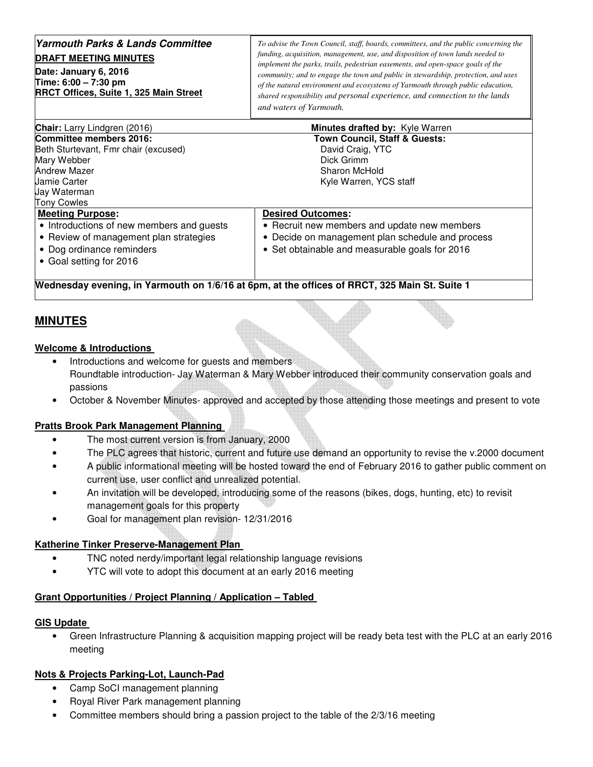### **Yarmouth Parks & Lands Committee DRAFT MEETING MINUTES**

**Date: January 6, 2016 Time: 6:00 – 7:30 pm RRCT Offices, Suite 1, 325 Main Street** 

*To advise the Town Council, staff, boards, committees, and the public concerning the funding, acquisition, management, use, and disposition of town lands needed to implement the parks, trails, pedestrian easements, and open-space goals of the community; and to engage the town and public in stewardship, protection, and uses of the natural environment and ecosystems of Yarmouth through public education, shared responsibility and personal experience, and connection to the lands and waters of Yarmouth.* 

| <b>Town Council, Staff &amp; Guests:</b>                                                      |
|-----------------------------------------------------------------------------------------------|
|                                                                                               |
|                                                                                               |
|                                                                                               |
|                                                                                               |
| Kyle Warren, YCS staff                                                                        |
|                                                                                               |
|                                                                                               |
|                                                                                               |
| • Recruit new members and update new members                                                  |
| • Decide on management plan schedule and process                                              |
| • Set obtainable and measurable goals for 2016                                                |
|                                                                                               |
|                                                                                               |
| Wednesday evening, in Yarmouth on 1/6/16 at 6pm, at the offices of RRCT, 325 Main St. Suite 1 |
|                                                                                               |

# **MINUTES**

#### **Welcome & Introductions**

- Introductions and welcome for guests and members Roundtable introduction- Jay Waterman & Mary Webber introduced their community conservation goals and passions
- October & November Minutes- approved and accepted by those attending those meetings and present to vote

### **Pratts Brook Park Management Planning**

- The most current version is from January, 2000
- The PLC agrees that historic, current and future use demand an opportunity to revise the v.2000 document
- A public informational meeting will be hosted toward the end of February 2016 to gather public comment on current use, user conflict and unrealized potential.
- An invitation will be developed, introducing some of the reasons (bikes, dogs, hunting, etc) to revisit management goals for this property
- Goal for management plan revision- 12/31/2016

### **Katherine Tinker Preserve-Management Plan**

- TNC noted nerdy/important legal relationship language revisions
- YTC will vote to adopt this document at an early 2016 meeting

#### **Grant Opportunities / Project Planning / Application – Tabled**

#### **GIS Update**

• Green Infrastructure Planning & acquisition mapping project will be ready beta test with the PLC at an early 2016 meeting

## **Nots & Projects Parking-Lot, Launch-Pad**

- Camp SoCI management planning
- Royal River Park management planning
- Committee members should bring a passion project to the table of the 2/3/16 meeting